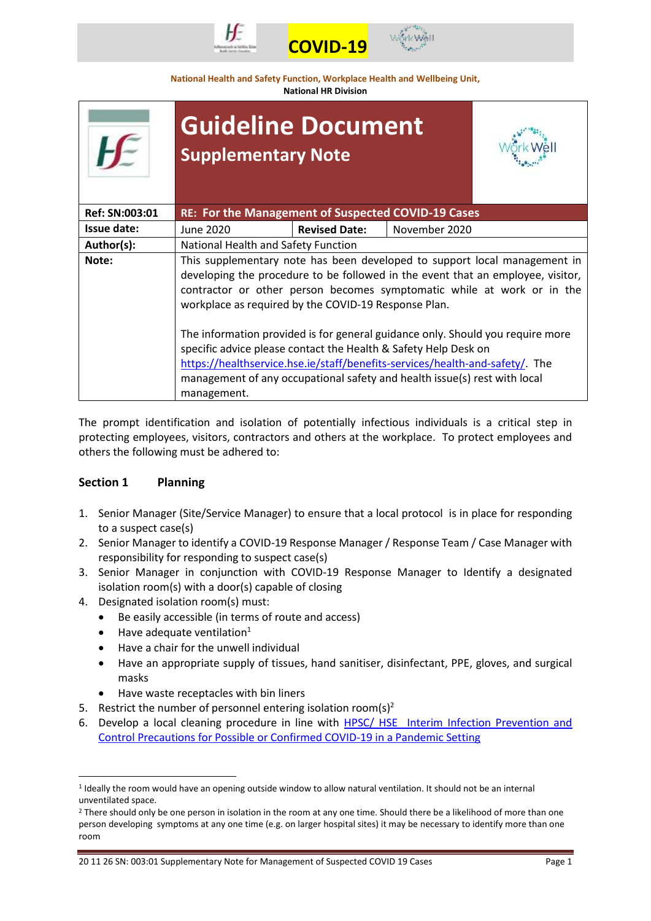



**National Health and Safety Function, Workplace Health and Wellbeing Unit, National HR Division**

|                | <b>Guideline Document</b><br><b>Supplementary Note</b>                                                                                                                                                                                                                                                                                                                                                                                                                                                                                                                                                                          |                      |               |
|----------------|---------------------------------------------------------------------------------------------------------------------------------------------------------------------------------------------------------------------------------------------------------------------------------------------------------------------------------------------------------------------------------------------------------------------------------------------------------------------------------------------------------------------------------------------------------------------------------------------------------------------------------|----------------------|---------------|
| Ref: SN:003:01 | RE: For the Management of Suspected COVID-19 Cases                                                                                                                                                                                                                                                                                                                                                                                                                                                                                                                                                                              |                      |               |
| Issue date:    | June 2020                                                                                                                                                                                                                                                                                                                                                                                                                                                                                                                                                                                                                       | <b>Revised Date:</b> | November 2020 |
| Author(s):     | National Health and Safety Function                                                                                                                                                                                                                                                                                                                                                                                                                                                                                                                                                                                             |                      |               |
| Note:          | This supplementary note has been developed to support local management in<br>developing the procedure to be followed in the event that an employee, visitor,<br>contractor or other person becomes symptomatic while at work or in the<br>workplace as required by the COVID-19 Response Plan.<br>The information provided is for general guidance only. Should you require more<br>specific advice please contact the Health & Safety Help Desk on<br>https://healthservice.hse.ie/staff/benefits-services/health-and-safety/. The<br>management of any occupational safety and health issue(s) rest with local<br>management. |                      |               |
|                |                                                                                                                                                                                                                                                                                                                                                                                                                                                                                                                                                                                                                                 |                      |               |

The prompt identification and isolation of potentially infectious individuals is a critical step in protecting employees, visitors, contractors and others at the workplace. To protect employees and others the following must be adhered to:

# **Section 1 Planning**

- 1. Senior Manager (Site/Service Manager) to ensure that a local protocol is in place for responding to a suspect case(s)
- 2. Senior Manager to identify a COVID-19 Response Manager / Response Team / Case Manager with responsibility for responding to suspect case(s)
- 3. Senior Manager in conjunction with COVID-19 Response Manager to Identify a designated isolation room(s) with a door(s) capable of closing
- 4. Designated isolation room(s) must:
	- Be easily accessible (in terms of route and access)
	- $\bullet$  Have adequate ventilation<sup>1</sup>

**.** 

- Have a chair for the unwell individual
- Have an appropriate supply of tissues, hand sanitiser, disinfectant, PPE, gloves, and surgical masks
- Have waste receptacles with bin liners
- 5. Restrict the number of personnel entering isolation room(s)<sup>2</sup>
- 6. Develop a local cleaning procedure in line with HPSC/ HSE [Interim Infection Prevention and](https://www.hpsc.ie/a-z/respiratory/coronavirus/novelcoronavirus/guidance/infectionpreventionandcontrolguidance/)  [Control Precautions for Possible or Confirmed COVID-19 in a Pandemic Setting](https://www.hpsc.ie/a-z/respiratory/coronavirus/novelcoronavirus/guidance/infectionpreventionandcontrolguidance/)

<sup>&</sup>lt;sup>1</sup> Ideally the room would have an opening outside window to allow natural ventilation. It should not be an internal unventilated space.

<sup>&</sup>lt;sup>2</sup> There should only be one person in isolation in the room at any one time. Should there be a likelihood of more than one person developing symptoms at any one time (e.g. on larger hospital sites) it may be necessary to identify more than one room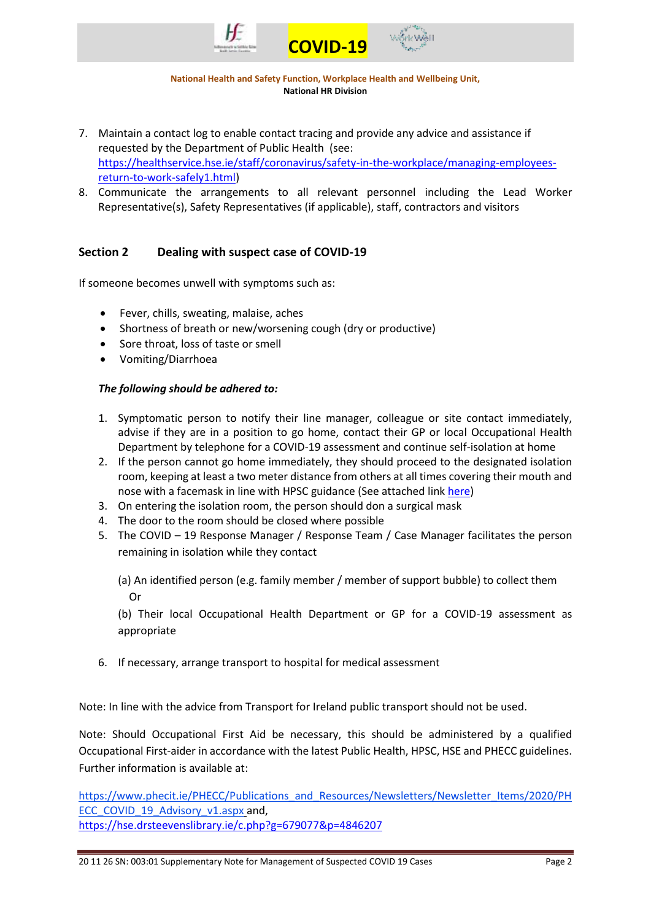

**National Health and Safety Function, Workplace Health and Wellbeing Unit, National HR Division**

- 7. Maintain a contact log to enable contact tracing and provide any advice and assistance if requested by the Department of Public Health (see: [https://healthservice.hse.ie/staff/coronavirus/safety-in-the-workplace/managing-employees](https://healthservice.hse.ie/staff/coronavirus/safety-in-the-workplace/managing-employees-return-to-work-safely1.html)[return-to-work-safely1.html\)](https://healthservice.hse.ie/staff/coronavirus/safety-in-the-workplace/managing-employees-return-to-work-safely1.html)
- 8. Communicate the arrangements to all relevant personnel including the Lead Worker Representative(s), Safety Representatives (if applicable), staff, contractors and visitors

## **Section 2 Dealing with suspect case of COVID-19**

If someone becomes unwell with symptoms such as:

- Fever, chills, sweating, malaise, aches
- Shortness of breath or new/worsening cough (dry or productive)
- Sore throat, loss of taste or smell
- Vomiting/Diarrhoea

### *The following should be adhered to:*

- 1. Symptomatic person to notify their line manager, colleague or site contact immediately, advise if they are in a position to go home, contact their GP or local Occupational Health Department by telephone for a COVID-19 assessment and continue self-isolation at home
- 2. If the person cannot go home immediately, they should proceed to the designated isolation room, keeping at least a two meter distance from others at all times covering their mouth and nose with a facemask in line with HPSC guidance (See attached lin[k here\)](https://www.hpsc.ie/a-z/respiratory/coronavirus/novelcoronavirus/guidance/infectionpreventionandcontrolguidance/ppe/)
- 3. On entering the isolation room, the person should don a surgical mask
- 4. The door to the room should be closed where possible
- 5. The COVID 19 Response Manager / Response Team / Case Manager facilitates the person remaining in isolation while they contact

(a) An identified person (e.g. family member / member of support bubble) to collect them Or

(b) Their local Occupational Health Department or GP for a COVID-19 assessment as appropriate

6. If necessary, arrange transport to hospital for medical assessment

Note: In line with the advice from Transport for Ireland public transport should not be used.

Note: Should Occupational First Aid be necessary, this should be administered by a qualified Occupational First-aider in accordance with the latest Public Health, HPSC, HSE and PHECC guidelines. Further information is available at:

[https://www.phecit.ie/PHECC/Publications\\_and\\_Resources/Newsletters/Newsletter\\_Items/2020/PH](https://www.phecit.ie/PHECC/Publications_and_Resources/Newsletters/Newsletter_Items/2020/PHECC_COVID_19_Advisory_v1.aspx) [ECC\\_COVID\\_19\\_Advisory\\_v1.aspx](https://www.phecit.ie/PHECC/Publications_and_Resources/Newsletters/Newsletter_Items/2020/PHECC_COVID_19_Advisory_v1.aspx) and, https://hse.drsteevenslibrary.ie/c.php?g=679077&p=4846207